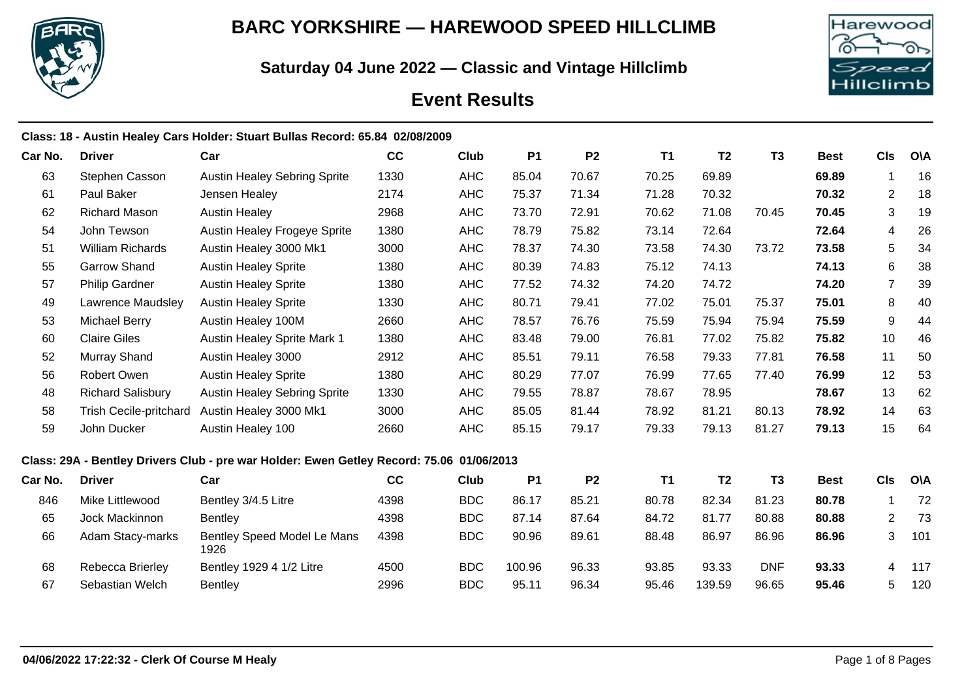

# **BARC YORKSHIRE — HAREWOOD SPEED HILLCLIMB**

**Saturday 04 June 2022 — Classic and Vintage Hillclimb**



# **Event Results**

|         |                               | Class: 18 - Austin Healey Cars Holder: Stuart Bullas Record: 65.84 02/08/2009            |      |             |           |                |           |                |                |             |                |            |
|---------|-------------------------------|------------------------------------------------------------------------------------------|------|-------------|-----------|----------------|-----------|----------------|----------------|-------------|----------------|------------|
| Car No. | <b>Driver</b>                 | Car                                                                                      | cc   | Club        | <b>P1</b> | P <sub>2</sub> | <b>T1</b> | T <sub>2</sub> | T <sub>3</sub> | <b>Best</b> | <b>CIs</b>     | <b>OVA</b> |
| 63      | Stephen Casson                | <b>Austin Healey Sebring Sprite</b>                                                      | 1330 | <b>AHC</b>  | 85.04     | 70.67          | 70.25     | 69.89          |                | 69.89       | 1              | 16         |
| 61      | Paul Baker                    | Jensen Healey                                                                            | 2174 | <b>AHC</b>  | 75.37     | 71.34          | 71.28     | 70.32          |                | 70.32       | 2              | 18         |
| 62      | <b>Richard Mason</b>          | <b>Austin Healey</b>                                                                     | 2968 | <b>AHC</b>  | 73.70     | 72.91          | 70.62     | 71.08          | 70.45          | 70.45       | 3              | 19         |
| 54      | John Tewson                   | <b>Austin Healey Frogeye Sprite</b>                                                      | 1380 | <b>AHC</b>  | 78.79     | 75.82          | 73.14     | 72.64          |                | 72.64       | $\overline{4}$ | 26         |
| 51      | <b>William Richards</b>       | Austin Healey 3000 Mk1                                                                   | 3000 | <b>AHC</b>  | 78.37     | 74.30          | 73.58     | 74.30          | 73.72          | 73.58       | 5              | 34         |
| 55      | <b>Garrow Shand</b>           | <b>Austin Healey Sprite</b>                                                              | 1380 | <b>AHC</b>  | 80.39     | 74.83          | 75.12     | 74.13          |                | 74.13       | 6              | 38         |
| 57      | <b>Philip Gardner</b>         | <b>Austin Healey Sprite</b>                                                              | 1380 | <b>AHC</b>  | 77.52     | 74.32          | 74.20     | 74.72          |                | 74.20       | $\overline{7}$ | 39         |
| 49      | Lawrence Maudsley             | <b>Austin Healey Sprite</b>                                                              | 1330 | <b>AHC</b>  | 80.71     | 79.41          | 77.02     | 75.01          | 75.37          | 75.01       | 8              | 40         |
| 53      | <b>Michael Berry</b>          | Austin Healey 100M                                                                       | 2660 | <b>AHC</b>  | 78.57     | 76.76          | 75.59     | 75.94          | 75.94          | 75.59       | 9              | 44         |
| 60      | <b>Claire Giles</b>           | Austin Healey Sprite Mark 1                                                              | 1380 | <b>AHC</b>  | 83.48     | 79.00          | 76.81     | 77.02          | 75.82          | 75.82       | 10             | 46         |
| 52      | <b>Murray Shand</b>           | Austin Healey 3000                                                                       | 2912 | <b>AHC</b>  | 85.51     | 79.11          | 76.58     | 79.33          | 77.81          | 76.58       | 11             | 50         |
| 56      | Robert Owen                   | <b>Austin Healey Sprite</b>                                                              | 1380 | <b>AHC</b>  | 80.29     | 77.07          | 76.99     | 77.65          | 77.40          | 76.99       | 12             | 53         |
| 48      | <b>Richard Salisbury</b>      | <b>Austin Healey Sebring Sprite</b>                                                      | 1330 | <b>AHC</b>  | 79.55     | 78.87          | 78.67     | 78.95          |                | 78.67       | 13             | 62         |
| 58      | <b>Trish Cecile-pritchard</b> | Austin Healey 3000 Mk1                                                                   | 3000 | <b>AHC</b>  | 85.05     | 81.44          | 78.92     | 81.21          | 80.13          | 78.92       | 14             | 63         |
| 59      | John Ducker                   | Austin Healey 100                                                                        | 2660 | <b>AHC</b>  | 85.15     | 79.17          | 79.33     | 79.13          | 81.27          | 79.13       | 15             | 64         |
|         |                               | Class: 29A - Bentley Drivers Club - pre war Holder: Ewen Getley Record: 75.06 01/06/2013 |      |             |           |                |           |                |                |             |                |            |
| Car No. | <b>Driver</b>                 | Car                                                                                      | cc   | <b>Club</b> | <b>P1</b> | <b>P2</b>      | <b>T1</b> | T <sub>2</sub> | T <sub>3</sub> | <b>Best</b> | <b>CIs</b>     | <b>O\A</b> |
| 846     | Mike Littlewood               | Bentley 3/4.5 Litre                                                                      | 4398 | <b>BDC</b>  | 86.17     | 85.21          | 80.78     | 82.34          | 81.23          | 80.78       | 1              | 72         |
| 65      | Jock Mackinnon                | <b>Bentley</b>                                                                           | 4398 | <b>BDC</b>  | 87.14     | 87.64          | 84.72     | 81.77          | 80.88          | 80.88       | $\overline{2}$ | 73         |
| 66      | Adam Stacy-marks              | Bentley Speed Model Le Mans<br>1926                                                      | 4398 | <b>BDC</b>  | 90.96     | 89.61          | 88.48     | 86.97          | 86.96          | 86.96       | 3              | 101        |
| 68      | Rebecca Brierley              | Bentley 1929 4 1/2 Litre                                                                 | 4500 | <b>BDC</b>  | 100.96    | 96.33          | 93.85     | 93.33          | <b>DNF</b>     | 93.33       | 4              | 117        |
| 67      | Sebastian Welch               | Bentley                                                                                  | 2996 | <b>BDC</b>  | 95.11     | 96.34          | 95.46     | 139.59         | 96.65          | 95.46       | 5              | 120        |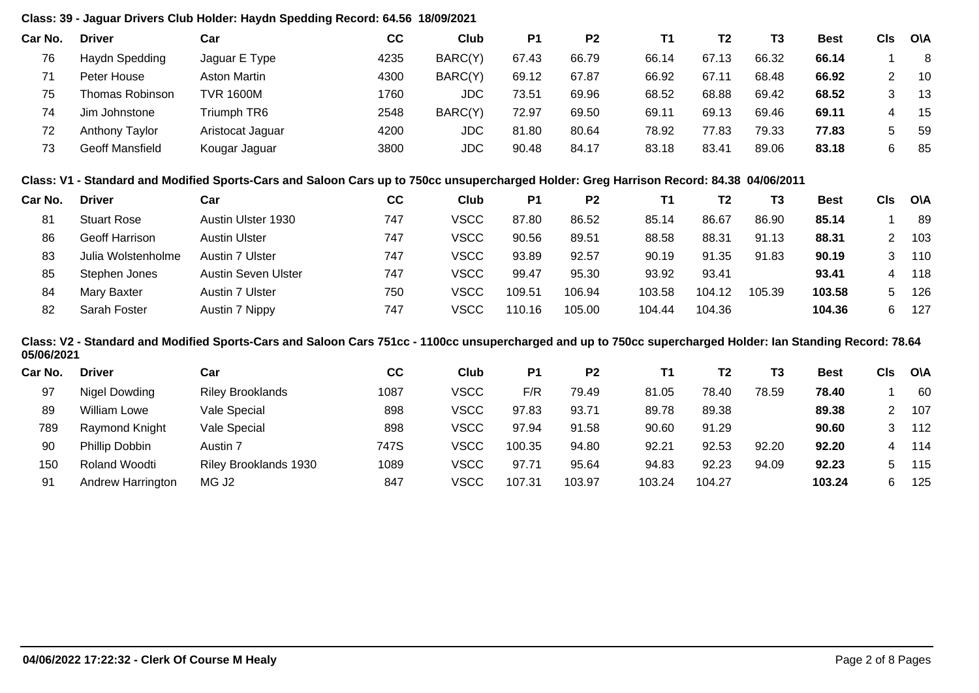# **Class: 39 - Jaguar Drivers Club Holder: Haydn Spedding Record: 64.56 18/09/2021**

| Car No. | <b>Driver</b>   | Car                 | СC   | Club       | P <sub>1</sub> | P <sub>2</sub> | Τ1    | T2    | T3    | <b>Best</b> | CIs | <b>OVA</b> |
|---------|-----------------|---------------------|------|------------|----------------|----------------|-------|-------|-------|-------------|-----|------------|
| 76      | Haydn Spedding  | Jaguar E Type       | 4235 | BARC(Y)    | 67.43          | 66.79          | 66.14 | 67.13 | 66.32 | 66.14       |     | 8          |
|         | Peter House     | <b>Aston Martin</b> | 4300 | BARC(Y)    | 69.12          | 67.87          | 66.92 | 67.11 | 68.48 | 66.92       |     | 10         |
| 75      | Thomas Robinson | <b>TVR 1600M</b>    | 1760 | <b>JDC</b> | 73.51          | 69.96          | 68.52 | 68.88 | 69.42 | 68.52       |     | 13         |
| 74      | Jim Johnstone   | Triumph TR6         | 2548 | BARC(Y)    | 72.97          | 69.50          | 69.11 | 69.13 | 69.46 | 69.11       |     | -15        |
| 72      | Anthony Taylor  | Aristocat Jaguar    | 4200 | JDC        | 81.80          | 80.64          | 78.92 | 77.83 | 79.33 | 77.83       | 5.  | -59        |
| 73      | Geoff Mansfield | Kougar Jaguar       | 3800 | JDC        | 90.48          | 84.17          | 83.18 | 83.41 | 89.06 | 83.18       | 6.  | -85        |

## **Class: V1 - Standard and Modified Sports-Cars and Saloon Cars up to 750cc unsupercharged Holder: Greg Harrison Record: 84.38 04/06/2011**

| Car No. | <b>Driver</b>      | Car                  | cc  | Club        | P <sub>1</sub> | P <sub>2</sub> |        | Т2     | T <sub>3</sub> | <b>Best</b> | Cls | <b>OVA</b> |
|---------|--------------------|----------------------|-----|-------------|----------------|----------------|--------|--------|----------------|-------------|-----|------------|
| 81      | <b>Stuart Rose</b> | Austin Ulster 1930   | 747 | VSCC        | 87.80          | 86.52          | 85.14  | 86.67  | 86.90          | 85.14       |     | 89         |
| 86      | Geoff Harrison     | <b>Austin Ulster</b> | 747 | <b>VSCC</b> | 90.56          | 89.51          | 88.58  | 88.31  | 91.13          | 88.31       |     | 103        |
| 83      | Julia Wolstenholme | Austin 7 Ulster      | 747 | <b>VSCC</b> | 93.89          | 92.57          | 90.19  | 91.35  | 91.83          | 90.19       | 3   | 110        |
| 85      | Stephen Jones      | Austin Seven Ulster  | 747 | VSCC        | 99.47          | 95.30          | 93.92  | 93.41  |                | 93.41       |     | 118        |
| 84      | Mary Baxter        | Austin 7 Ulster      | 750 | <b>VSCC</b> | 109.51         | 106.94         | 103.58 | 104.12 | 105.39         | 103.58      | 5.  | 126        |
| 82      | Sarah Foster       | Austin 7 Nippy       | 747 | VSCC        | 110.16         | 105.00         | 104.44 | 104.36 |                | 104.36      | 6.  | 127        |

#### **Class: V2 - Standard and Modified Sports-Cars and Saloon Cars 751cc - 1100cc unsupercharged and up to 750cc supercharged Holder: Ian Standing Record: 78.64 05/06/2021**

| <b>Driver</b>       | Car                     | cc   | Club        | P1     | P <sub>2</sub> |        | T <sub>2</sub> | T3    | Best   | Cls | <b>O\A</b> |
|---------------------|-------------------------|------|-------------|--------|----------------|--------|----------------|-------|--------|-----|------------|
| Nigel Dowding       | <b>Riley Brooklands</b> | 1087 | VSCC        | F/R    | 79.49          | 81.05  | 78.40          | 78.59 | 78.40  |     | 60         |
| <b>William Lowe</b> | Vale Special            | 898  | <b>VSCC</b> | 97.83  | 93.71          | 89.78  | 89.38          |       | 89.38  |     | 107        |
| Raymond Knight      | Vale Special            | 898  | VSCC        | 97.94  | 91.58          | 90.60  | 91.29          |       | 90.60  |     | 112        |
| Phillip Dobbin      | Austin 7                | 747S | VSCC        | 100.35 | 94.80          | 92.21  | 92.53          | 92.20 | 92.20  | 4   | 114        |
| Roland Woodti       | Riley Brooklands 1930   | 1089 | <b>VSCC</b> | 97.71  | 95.64          | 94.83  | 92.23          | 94.09 | 92.23  |     | 115        |
| Andrew Harrington   | MG J <sub>2</sub>       | 847  | VSCC        | 107.31 | 103.97         | 103.24 | 104.27         |       | 103.24 | 6   | 125        |
|                     |                         |      |             |        |                |        |                |       |        |     |            |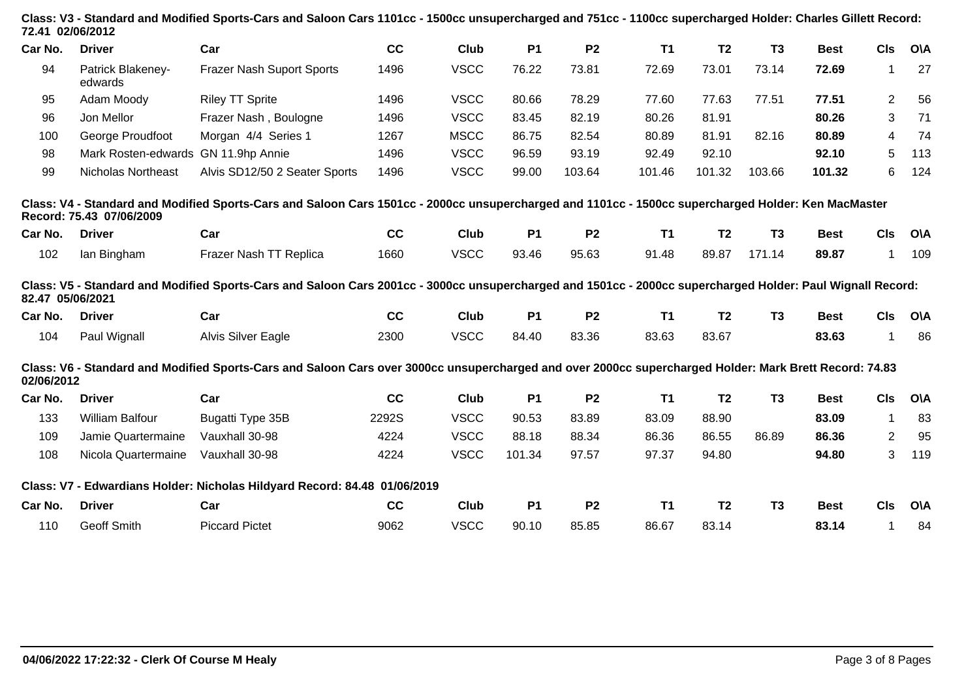| 72.41 02/06/2012 |                              | Class: V3 - Standard and Modified Sports-Cars and Saloon Cars 1101cc - 1500cc unsupercharged and 751cc - 1100cc supercharged Holder: Charles Gillett Record: |       |             |           |                |           |                |                |             |                |            |
|------------------|------------------------------|--------------------------------------------------------------------------------------------------------------------------------------------------------------|-------|-------------|-----------|----------------|-----------|----------------|----------------|-------------|----------------|------------|
| Car No.          | <b>Driver</b>                | Car                                                                                                                                                          | cc    | Club        | <b>P1</b> | P <sub>2</sub> | T1        | <b>T2</b>      | T <sub>3</sub> | <b>Best</b> | <b>CIs</b>     | <b>O\A</b> |
| 94               | Patrick Blakeney-<br>edwards | <b>Frazer Nash Suport Sports</b>                                                                                                                             | 1496  | <b>VSCC</b> | 76.22     | 73.81          | 72.69     | 73.01          | 73.14          | 72.69       | 1              | 27         |
| 95               | Adam Moody                   | <b>Riley TT Sprite</b>                                                                                                                                       | 1496  | <b>VSCC</b> | 80.66     | 78.29          | 77.60     | 77.63          | 77.51          | 77.51       | $\overline{2}$ | 56         |
| 96               | Jon Mellor                   | Frazer Nash, Boulogne                                                                                                                                        | 1496  | <b>VSCC</b> | 83.45     | 82.19          | 80.26     | 81.91          |                | 80.26       | 3              | 71         |
| 100              | George Proudfoot             | Morgan 4/4 Series 1                                                                                                                                          | 1267  | <b>MSCC</b> | 86.75     | 82.54          | 80.89     | 81.91          | 82.16          | 80.89       | 4              | 74         |
| 98               | Mark Rosten-edwards          | GN 11.9hp Annie                                                                                                                                              | 1496  | <b>VSCC</b> | 96.59     | 93.19          | 92.49     | 92.10          |                | 92.10       | 5              | 113        |
| 99               | <b>Nicholas Northeast</b>    | Alvis SD12/50 2 Seater Sports                                                                                                                                | 1496  | <b>VSCC</b> | 99.00     | 103.64         | 101.46    | 101.32         | 103.66         | 101.32      | 6              | 124        |
|                  | Record: 75.43 07/06/2009     | Class: V4 - Standard and Modified Sports-Cars and Saloon Cars 1501cc - 2000cc unsupercharged and 1101cc - 1500cc supercharged Holder: Ken MacMaster          |       |             |           |                |           |                |                |             |                |            |
| Car No.          | <b>Driver</b>                | Car                                                                                                                                                          | cc    | Club        | <b>P1</b> | P <sub>2</sub> | <b>T1</b> | T <sub>2</sub> | T <sub>3</sub> | <b>Best</b> | <b>CIs</b>     | <b>O\A</b> |
| 102              | lan Bingham                  | Frazer Nash TT Replica                                                                                                                                       | 1660  | <b>VSCC</b> | 93.46     | 95.63          | 91.48     | 89.87          | 171.14         | 89.87       | $\mathbf 1$    | 109        |
| 82.47 05/06/2021 |                              | Class: V5 - Standard and Modified Sports-Cars and Saloon Cars 2001cc - 3000cc unsupercharged and 1501cc - 2000cc supercharged Holder: Paul Wignall Record:   |       |             |           |                |           |                |                |             |                |            |
| Car No.          | <b>Driver</b>                | Car                                                                                                                                                          | cc    | <b>Club</b> | <b>P1</b> | <b>P2</b>      | <b>T1</b> | T <sub>2</sub> | T <sub>3</sub> | <b>Best</b> | <b>CIs</b>     | <b>O\A</b> |
| 104              | Paul Wignall                 | Alvis Silver Eagle                                                                                                                                           | 2300  | <b>VSCC</b> | 84.40     | 83.36          | 83.63     | 83.67          |                | 83.63       | 1              | 86         |
| 02/06/2012       |                              | Class: V6 - Standard and Modified Sports-Cars and Saloon Cars over 3000cc unsupercharged and over 2000cc supercharged Holder: Mark Brett Record: 74.83       |       |             |           |                |           |                |                |             |                |            |
| Car No.          | <b>Driver</b>                | Car                                                                                                                                                          | cc    | Club        | <b>P1</b> | P <sub>2</sub> | <b>T1</b> | T <sub>2</sub> | T <sub>3</sub> | <b>Best</b> | <b>CIs</b>     | <b>O\A</b> |
| 133              | <b>William Balfour</b>       | Bugatti Type 35B                                                                                                                                             | 2292S | <b>VSCC</b> | 90.53     | 83.89          | 83.09     | 88.90          |                | 83.09       | $\mathbf{1}$   | 83         |
| 109              | Jamie Quartermaine           | Vauxhall 30-98                                                                                                                                               | 4224  | <b>VSCC</b> | 88.18     | 88.34          | 86.36     | 86.55          | 86.89          | 86.36       | $\overline{2}$ | 95         |
| 108              | Nicola Quartermaine          | Vauxhall 30-98                                                                                                                                               | 4224  | <b>VSCC</b> | 101.34    | 97.57          | 97.37     | 94.80          |                | 94.80       | 3              | 119        |
|                  |                              | Class: V7 - Edwardians Holder: Nicholas Hildyard Record: 84.48 01/06/2019                                                                                    |       |             |           |                |           |                |                |             |                |            |
| Car No.          | <b>Driver</b>                | Car                                                                                                                                                          | cc    | <b>Club</b> | <b>P1</b> | <b>P2</b>      | T1        | T <sub>2</sub> | T <sub>3</sub> | <b>Best</b> | <b>CIs</b>     | <b>O\A</b> |
| 110              | Geoff Smith                  | <b>Piccard Pictet</b>                                                                                                                                        | 9062  | <b>VSCC</b> | 90.10     | 85.85          | 86.67     | 83.14          |                | 83.14       | 1              | 84         |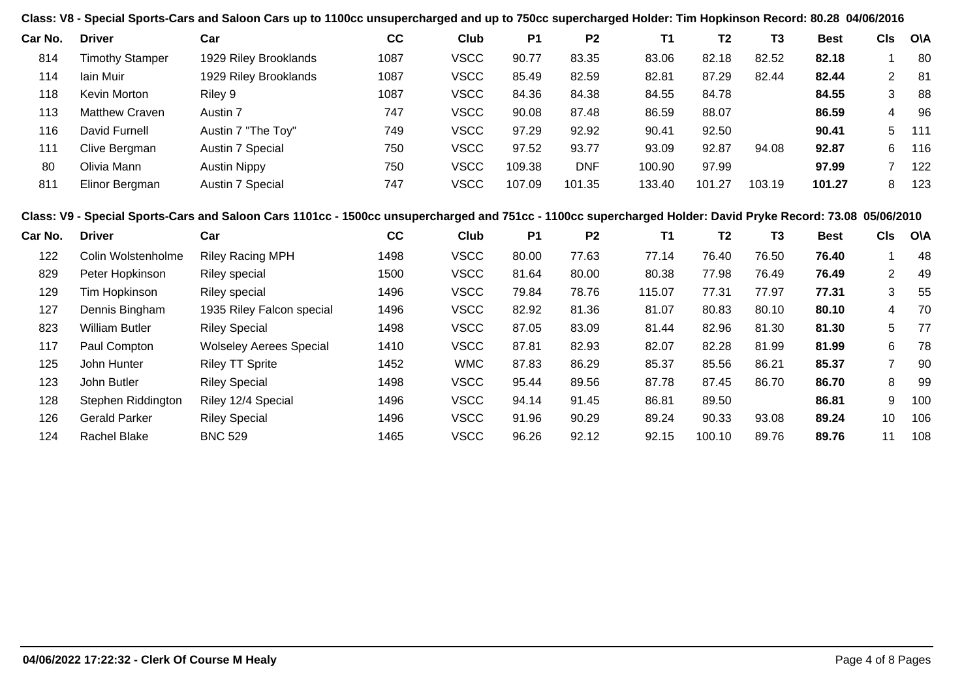**Class: V8 - Special Sports-Cars and Saloon Cars up to 1100cc unsupercharged and up to 750cc supercharged Holder: Tim Hopkinson Record: 80.28 04/06/2016**

| Car No. | <b>Driver</b>          | Car                   | cc   | Club        | P <sub>1</sub> | P <sub>2</sub> | Τ1     | Т2     | T3     | <b>Best</b> | CIs | <b>OVA</b> |
|---------|------------------------|-----------------------|------|-------------|----------------|----------------|--------|--------|--------|-------------|-----|------------|
| 814     | <b>Timothy Stamper</b> | 1929 Riley Brooklands | 1087 | <b>VSCC</b> | 90.77          | 83.35          | 83.06  | 82.18  | 82.52  | 82.18       |     | 80         |
| 114     | lain Muir              | 1929 Riley Brooklands | 1087 | <b>VSCC</b> | 85.49          | 82.59          | 82.81  | 87.29  | 82.44  | 82.44       | 2   | -81        |
| 118     | Kevin Morton           | Riley 9               | 1087 | <b>VSCC</b> | 84.36          | 84.38          | 84.55  | 84.78  |        | 84.55       | 3   | 88         |
| 113     | <b>Matthew Craven</b>  | Austin 7              | 747  | <b>VSCC</b> | 90.08          | 87.48          | 86.59  | 88.07  |        | 86.59       | 4   | 96         |
| 116     | David Furnell          | Austin 7 "The Toy"    | 749  | <b>VSCC</b> | 97.29          | 92.92          | 90.41  | 92.50  |        | 90.41       | 5   | 111        |
| 111     | Clive Bergman          | Austin 7 Special      | 750  | <b>VSCC</b> | 97.52          | 93.77          | 93.09  | 92.87  | 94.08  | 92.87       | 6   | 116        |
| 80      | Olivia Mann            | <b>Austin Nippy</b>   | 750  | <b>VSCC</b> | 109.38         | <b>DNF</b>     | 100.90 | 97.99  |        | 97.99       |     | 122        |
| 811     | Elinor Bergman         | Austin 7 Special      | 747  | <b>VSCC</b> | 107.09         | 101.35         | 133.40 | 101.27 | 103.19 | 101.27      | 8   | 123        |

### **Class: V9 - Special Sports-Cars and Saloon Cars 1101cc - 1500cc unsupercharged and 751cc - 1100cc supercharged Holder: David Pryke Record: 73.08 05/06/2010**

| <b>Driver</b>         | Car                            | cc   | Club        | P <sub>1</sub> | P <sub>2</sub> | <b>T1</b> | T <sub>2</sub> | T3    | <b>Best</b> | <b>CIs</b>      | <b>O\A</b> |
|-----------------------|--------------------------------|------|-------------|----------------|----------------|-----------|----------------|-------|-------------|-----------------|------------|
| Colin Wolstenholme    | <b>Riley Racing MPH</b>        | 1498 | <b>VSCC</b> | 80.00          | 77.63          | 77.14     | 76.40          | 76.50 | 76.40       |                 | -48        |
| Peter Hopkinson       | <b>Riley special</b>           | 1500 | <b>VSCC</b> | 81.64          | 80.00          | 80.38     | 77.98          | 76.49 | 76.49       | 2               | -49        |
| Tim Hopkinson         | <b>Riley special</b>           | 1496 | <b>VSCC</b> | 79.84          | 78.76          | 115.07    | 77.31          | 77.97 | 77.31       | 3               | 55         |
| Dennis Bingham        | 1935 Riley Falcon special      | 1496 | <b>VSCC</b> | 82.92          | 81.36          | 81.07     | 80.83          | 80.10 | 80.10       | 4               | 70         |
| <b>William Butler</b> | <b>Riley Special</b>           | 1498 | <b>VSCC</b> | 87.05          | 83.09          | 81.44     | 82.96          | 81.30 | 81.30       | 5               | 77         |
| Paul Compton          | <b>Wolseley Aerees Special</b> | 1410 | <b>VSCC</b> | 87.81          | 82.93          | 82.07     | 82.28          | 81.99 | 81.99       | 6               | 78         |
| John Hunter           | <b>Riley TT Sprite</b>         | 1452 | <b>WMC</b>  | 87.83          | 86.29          | 85.37     | 85.56          | 86.21 | 85.37       |                 | 90         |
| John Butler           | <b>Riley Special</b>           | 1498 | <b>VSCC</b> | 95.44          | 89.56          | 87.78     | 87.45          | 86.70 | 86.70       | 8               | 99         |
| Stephen Riddington    | Riley 12/4 Special             | 1496 | <b>VSCC</b> | 94.14          | 91.45          | 86.81     | 89.50          |       | 86.81       | 9               | 100        |
| <b>Gerald Parker</b>  | <b>Riley Special</b>           | 1496 | <b>VSCC</b> | 91.96          | 90.29          | 89.24     | 90.33          | 93.08 | 89.24       | 10 <sup>°</sup> | 106        |
| Rachel Blake          | <b>BNC 529</b>                 | 1465 | <b>VSCC</b> | 96.26          | 92.12          | 92.15     | 100.10         | 89.76 | 89.76       | 11              | 108        |
|                       |                                |      |             |                |                |           |                |       |             |                 |            |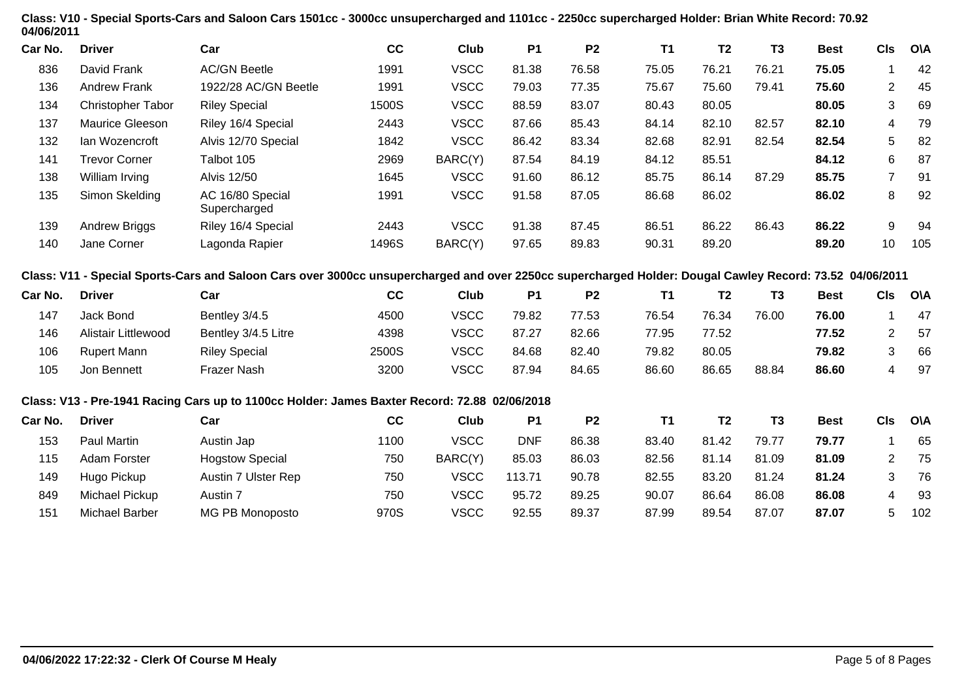| 04/06/2011 |                            | Class: V10 - Special Sports-Cars and Saloon Cars 1501cc - 3000cc unsupercharged and 1101cc - 2250cc supercharged Holder: Brian White Record: 70.92      |       |             |            |                |           |                |                |             |                |            |
|------------|----------------------------|---------------------------------------------------------------------------------------------------------------------------------------------------------|-------|-------------|------------|----------------|-----------|----------------|----------------|-------------|----------------|------------|
| Car No.    | <b>Driver</b>              | Car                                                                                                                                                     | cc    | Club        | <b>P1</b>  | P <sub>2</sub> | <b>T1</b> | T <sub>2</sub> | T <sub>3</sub> | <b>Best</b> | <b>CIs</b>     | <b>O\A</b> |
| 836        | David Frank                | <b>AC/GN Beetle</b>                                                                                                                                     | 1991  | <b>VSCC</b> | 81.38      | 76.58          | 75.05     | 76.21          | 76.21          | 75.05       | 1              | 42         |
| 136        | <b>Andrew Frank</b>        | 1922/28 AC/GN Beetle                                                                                                                                    | 1991  | <b>VSCC</b> | 79.03      | 77.35          | 75.67     | 75.60          | 79.41          | 75.60       | 2              | 45         |
| 134        | Christopher Tabor          | <b>Riley Special</b>                                                                                                                                    | 1500S | <b>VSCC</b> | 88.59      | 83.07          | 80.43     | 80.05          |                | 80.05       | 3              | 69         |
| 137        | Maurice Gleeson            | Riley 16/4 Special                                                                                                                                      | 2443  | <b>VSCC</b> | 87.66      | 85.43          | 84.14     | 82.10          | 82.57          | 82.10       | 4              | 79         |
| 132        | Ian Wozencroft             | Alvis 12/70 Special                                                                                                                                     | 1842  | <b>VSCC</b> | 86.42      | 83.34          | 82.68     | 82.91          | 82.54          | 82.54       | 5              | 82         |
| 141        | <b>Trevor Corner</b>       | Talbot 105                                                                                                                                              | 2969  | BARC(Y)     | 87.54      | 84.19          | 84.12     | 85.51          |                | 84.12       | 6              | 87         |
| 138        | William Irving             | <b>Alvis 12/50</b>                                                                                                                                      | 1645  | <b>VSCC</b> | 91.60      | 86.12          | 85.75     | 86.14          | 87.29          | 85.75       | $\overline{7}$ | 91         |
| 135        | Simon Skelding             | AC 16/80 Special<br>Supercharged                                                                                                                        | 1991  | <b>VSCC</b> | 91.58      | 87.05          | 86.68     | 86.02          |                | 86.02       | 8              | 92         |
| 139        | Andrew Briggs              | Riley 16/4 Special                                                                                                                                      | 2443  | <b>VSCC</b> | 91.38      | 87.45          | 86.51     | 86.22          | 86.43          | 86.22       | 9              | 94         |
| 140        | Jane Corner                | Lagonda Rapier                                                                                                                                          | 1496S | BARC(Y)     | 97.65      | 89.83          | 90.31     | 89.20          |                | 89.20       | 10             | 105        |
|            |                            | Class: V11 - Special Sports-Cars and Saloon Cars over 3000cc unsupercharged and over 2250cc supercharged Holder: Dougal Cawley Record: 73.52 04/06/2011 |       |             |            |                |           |                |                |             |                |            |
| Car No.    | <b>Driver</b>              | Car                                                                                                                                                     | cc    | Club        | <b>P1</b>  | P <sub>2</sub> | <b>T1</b> | T <sub>2</sub> | T <sub>3</sub> | <b>Best</b> | <b>CIs</b>     | <b>O\A</b> |
| 147        | Jack Bond                  | Bentley 3/4.5                                                                                                                                           | 4500  | <b>VSCC</b> | 79.82      | 77.53          | 76.54     | 76.34          | 76.00          | 76.00       | 1              | 47         |
| 146        | <b>Alistair Littlewood</b> | Bentley 3/4.5 Litre                                                                                                                                     | 4398  | <b>VSCC</b> | 87.27      | 82.66          | 77.95     | 77.52          |                | 77.52       | $\overline{2}$ | 57         |
| 106        | <b>Rupert Mann</b>         | <b>Riley Special</b>                                                                                                                                    | 2500S | <b>VSCC</b> | 84.68      | 82.40          | 79.82     | 80.05          |                | 79.82       | 3              | 66         |
| 105        | Jon Bennett                | Frazer Nash                                                                                                                                             | 3200  | <b>VSCC</b> | 87.94      | 84.65          | 86.60     | 86.65          | 88.84          | 86.60       | 4              | 97         |
|            |                            | Class: V13 - Pre-1941 Racing Cars up to 1100cc Holder: James Baxter Record: 72.88 02/06/2018                                                            |       |             |            |                |           |                |                |             |                |            |
| Car No.    | <b>Driver</b>              | Car                                                                                                                                                     | cc    | Club        | <b>P1</b>  | P <sub>2</sub> | <b>T1</b> | T <sub>2</sub> | <b>T3</b>      | <b>Best</b> | <b>CIs</b>     | <b>O\A</b> |
| 153        | Paul Martin                | Austin Jap                                                                                                                                              | 1100  | <b>VSCC</b> | <b>DNF</b> | 86.38          | 83.40     | 81.42          | 79.77          | 79.77       | $\mathbf{1}$   | 65         |
| 115        | Adam Forster               | <b>Hogstow Special</b>                                                                                                                                  | 750   | BARC(Y)     | 85.03      | 86.03          | 82.56     | 81.14          | 81.09          | 81.09       | $\overline{2}$ | 75         |
| 149        | Hugo Pickup                | Austin 7 Ulster Rep                                                                                                                                     | 750   | <b>VSCC</b> | 113.71     | 90.78          | 82.55     | 83.20          | 81.24          | 81.24       | 3              | 76         |
| 849        | Michael Pickup             | Austin 7                                                                                                                                                | 750   | <b>VSCC</b> | 95.72      | 89.25          | 90.07     | 86.64          | 86.08          | 86.08       | 4              | 93         |
| 151        | <b>Michael Barber</b>      | MG PB Monoposto                                                                                                                                         | 970S  | <b>VSCC</b> | 92.55      | 89.37          | 87.99     | 89.54          | 87.07          | 87.07       | 5              | 102        |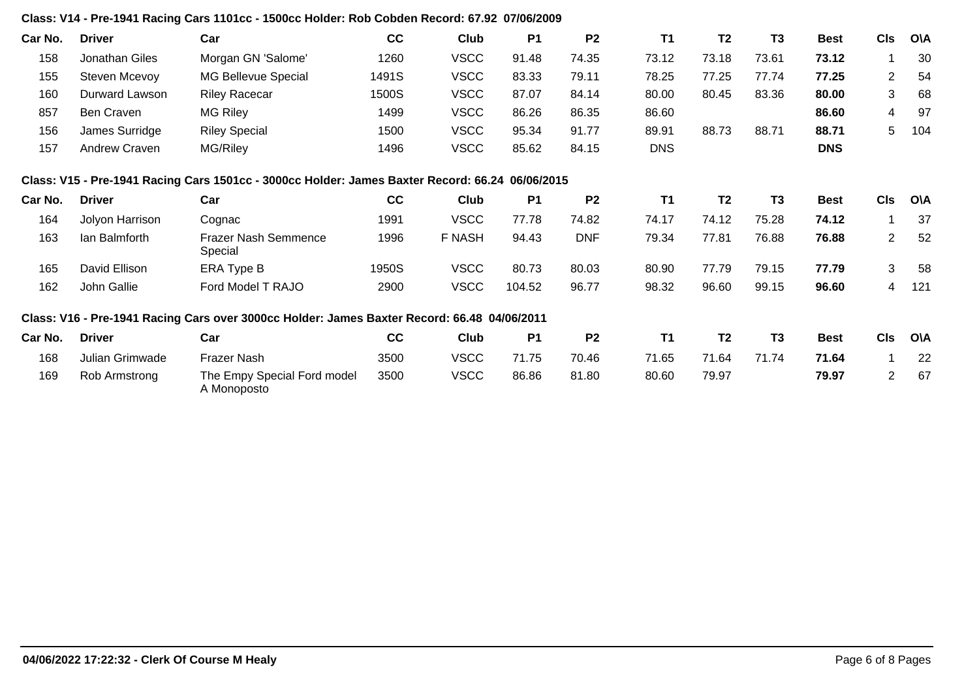# **Class: V14 - Pre-1941 Racing Cars 1101cc - 1500cc Holder: Rob Cobden Record: 67.92 07/06/2009**

| Car No. | <b>Driver</b>   | Car                                                                                             | cc    | Club          | <b>P1</b> | P <sub>2</sub> | <b>T1</b>  | T <sub>2</sub> | T <sub>3</sub> | <b>Best</b> | <b>CIs</b>     | <b>OVA</b> |
|---------|-----------------|-------------------------------------------------------------------------------------------------|-------|---------------|-----------|----------------|------------|----------------|----------------|-------------|----------------|------------|
| 158     | Jonathan Giles  | Morgan GN 'Salome'                                                                              | 1260  | <b>VSCC</b>   | 91.48     | 74.35          | 73.12      | 73.18          | 73.61          | 73.12       |                | 30         |
| 155     | Steven Mcevoy   | MG Bellevue Special                                                                             | 1491S | <b>VSCC</b>   | 83.33     | 79.11          | 78.25      | 77.25          | 77.74          | 77.25       | $\overline{2}$ | 54         |
| 160     | Durward Lawson  | <b>Riley Racecar</b>                                                                            | 1500S | <b>VSCC</b>   | 87.07     | 84.14          | 80.00      | 80.45          | 83.36          | 80.00       | 3              | 68         |
| 857     | Ben Craven      | <b>MG Riley</b>                                                                                 | 1499  | <b>VSCC</b>   | 86.26     | 86.35          | 86.60      |                |                | 86.60       | 4              | 97         |
| 156     | James Surridge  | <b>Riley Special</b>                                                                            | 1500  | <b>VSCC</b>   | 95.34     | 91.77          | 89.91      | 88.73          | 88.71          | 88.71       | 5              | 104        |
| 157     | Andrew Craven   | MG/Riley                                                                                        | 1496  | <b>VSCC</b>   | 85.62     | 84.15          | <b>DNS</b> |                |                | <b>DNS</b>  |                |            |
|         |                 | Class: V15 - Pre-1941 Racing Cars 1501cc - 3000cc Holder: James Baxter Record: 66.24 06/06/2015 |       |               |           |                |            |                |                |             |                |            |
| Car No. | <b>Driver</b>   | Car                                                                                             | cc    | Club          | <b>P1</b> | P <sub>2</sub> | <b>T1</b>  | T <sub>2</sub> | T <sub>3</sub> | <b>Best</b> | <b>CIs</b>     | <b>O\A</b> |
| 164     | Jolyon Harrison | Cognac                                                                                          | 1991  | <b>VSCC</b>   | 77.78     | 74.82          | 74.17      | 74.12          | 75.28          | 74.12       |                | 37         |
| 163     | lan Balmforth   | <b>Frazer Nash Semmence</b><br>Special                                                          | 1996  | <b>F NASH</b> | 94.43     | <b>DNF</b>     | 79.34      | 77.81          | 76.88          | 76.88       | $\overline{2}$ | 52         |
| 165     | David Ellison   | ERA Type B                                                                                      | 1950S | <b>VSCC</b>   | 80.73     | 80.03          | 80.90      | 77.79          | 79.15          | 77.79       | 3              | 58         |
| 162     | John Gallie     | Ford Model T RAJO                                                                               | 2900  | <b>VSCC</b>   | 104.52    | 96.77          | 98.32      | 96.60          | 99.15          | 96.60       | 4              | 121        |
|         |                 | Class: V16 - Pre-1941 Racing Cars over 3000cc Holder: James Baxter Record: 66.48 04/06/2011     |       |               |           |                |            |                |                |             |                |            |
| Car No. | <b>Driver</b>   | Car                                                                                             | cc    | Club          | <b>P1</b> | P <sub>2</sub> | <b>T1</b>  | T <sub>2</sub> | T3             | <b>Best</b> | <b>CIs</b>     | O\A        |
| 168     | Julian Grimwade | Frazer Nash                                                                                     | 3500  | <b>VSCC</b>   | 71.75     | 70.46          | 71.65      | 71.64          | 71.74          | 71.64       |                | 22         |
| 169     | Rob Armstrong   | The Empy Special Ford model<br>A Monoposto                                                      | 3500  | <b>VSCC</b>   | 86.86     | 81.80          | 80.60      | 79.97          |                | 79.97       | $\overline{2}$ | 67         |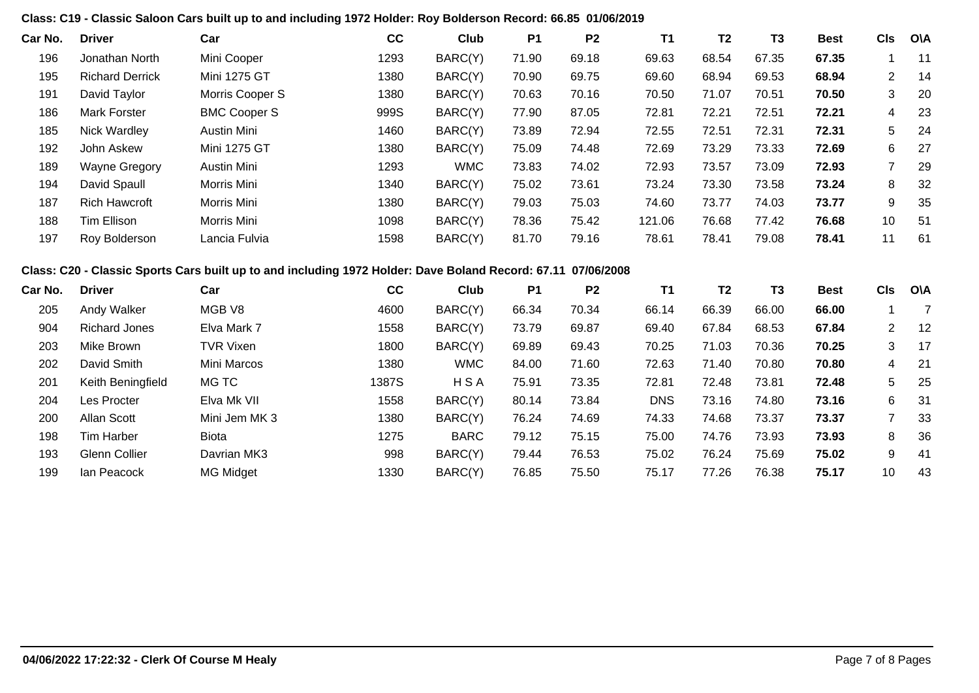## **Class: C19 - Classic Saloon Cars built up to and including 1972 Holder: Roy Bolderson Record: 66.85 01/06/2019**

| Car No. | <b>Driver</b>          | Car                 | cc   | Club       | P <sub>1</sub> | P <sub>2</sub> | <b>T1</b> | T <sub>2</sub> | T3    | <b>Best</b> | CIs            | O\A |
|---------|------------------------|---------------------|------|------------|----------------|----------------|-----------|----------------|-------|-------------|----------------|-----|
| 196     | Jonathan North         | Mini Cooper         | 1293 | BARC(Y)    | 71.90          | 69.18          | 69.63     | 68.54          | 67.35 | 67.35       |                | 11  |
| 195     | <b>Richard Derrick</b> | <b>Mini 1275 GT</b> | 1380 | BARC(Y)    | 70.90          | 69.75          | 69.60     | 68.94          | 69.53 | 68.94       | $\overline{2}$ | -14 |
| 191     | David Taylor           | Morris Cooper S     | 1380 | BARC(Y)    | 70.63          | 70.16          | 70.50     | 71.07          | 70.51 | 70.50       | 3              | 20  |
| 186     | <b>Mark Forster</b>    | <b>BMC Cooper S</b> | 999S | BARC(Y)    | 77.90          | 87.05          | 72.81     | 72.21          | 72.51 | 72.21       | 4              | 23  |
| 185     | <b>Nick Wardley</b>    | Austin Mini         | 1460 | BARC(Y)    | 73.89          | 72.94          | 72.55     | 72.51          | 72.31 | 72.31       | 5              | -24 |
| 192     | John Askew             | Mini 1275 GT        | 1380 | BARC(Y)    | 75.09          | 74.48          | 72.69     | 73.29          | 73.33 | 72.69       | 6              | 27  |
| 189     | <b>Wayne Gregory</b>   | Austin Mini         | 1293 | <b>WMC</b> | 73.83          | 74.02          | 72.93     | 73.57          | 73.09 | 72.93       |                | 29  |
| 194     | David Spaull           | Morris Mini         | 1340 | BARC(Y)    | 75.02          | 73.61          | 73.24     | 73.30          | 73.58 | 73.24       | 8              | 32  |
| 187     | <b>Rich Hawcroft</b>   | Morris Mini         | 1380 | BARC(Y)    | 79.03          | 75.03          | 74.60     | 73.77          | 74.03 | 73.77       | 9              | 35  |
| 188     | Tim Ellison            | Morris Mini         | 1098 | BARC(Y)    | 78.36          | 75.42          | 121.06    | 76.68          | 77.42 | 76.68       | 10             | 51  |
| 197     | Roy Bolderson          | Lancia Fulvia       | 1598 | BARC(Y)    | 81.70          | 79.16          | 78.61     | 78.41          | 79.08 | 78.41       | 11             | 61  |

# **Class: C20 - Classic Sports Cars built up to and including 1972 Holder: Dave Boland Record: 67.11 07/06/2008**

| Car No. | <b>Driver</b>     | Car              | cc    | Club        | P <sub>1</sub> | P <sub>2</sub> | <b>T1</b>  | T2    | T <sub>3</sub> | <b>Best</b> | <b>CIs</b> | O\A |
|---------|-------------------|------------------|-------|-------------|----------------|----------------|------------|-------|----------------|-------------|------------|-----|
| 205     | Andy Walker       | MGB V8           | 4600  | BARC(Y)     | 66.34          | 70.34          | 66.14      | 66.39 | 66.00          | 66.00       |            |     |
| 904     | Richard Jones     | Elva Mark 7      | 1558  | BARC(Y)     | 73.79          | 69.87          | 69.40      | 67.84 | 68.53          | 67.84       | 2          | -12 |
| 203     | Mike Brown        | <b>TVR Vixen</b> | 1800  | BARC(Y)     | 69.89          | 69.43          | 70.25      | 71.03 | 70.36          | 70.25       | 3          | -17 |
| 202     | David Smith       | Mini Marcos      | 1380  | <b>WMC</b>  | 84.00          | 71.60          | 72.63      | 71.40 | 70.80          | 70.80       | 4          | -21 |
| 201     | Keith Beningfield | MG TC            | 1387S | <b>HSA</b>  | 75.91          | 73.35          | 72.81      | 72.48 | 73.81          | 72.48       | 5          | 25  |
| 204     | Les Procter       | Elva Mk VII      | 1558  | BARC(Y)     | 80.14          | 73.84          | <b>DNS</b> | 73.16 | 74.80          | 73.16       | 6          | 31  |
| 200     | Allan Scott       | Mini Jem MK 3    | 1380  | BARC(Y)     | 76.24          | 74.69          | 74.33      | 74.68 | 73.37          | 73.37       |            | 33  |
| 198     | Tim Harber        | Biota            | 1275  | <b>BARC</b> | 79.12          | 75.15          | 75.00      | 74.76 | 73.93          | 73.93       | 8          | 36  |
| 193     | Glenn Collier     | Davrian MK3      | 998   | BARC(Y)     | 79.44          | 76.53          | 75.02      | 76.24 | 75.69          | 75.02       | 9          | -41 |
| 199     | lan Peacock       | <b>MG Midget</b> | 1330  | BARC(Y)     | 76.85          | 75.50          | 75.17      | 77.26 | 76.38          | 75.17       | 10         | 43  |